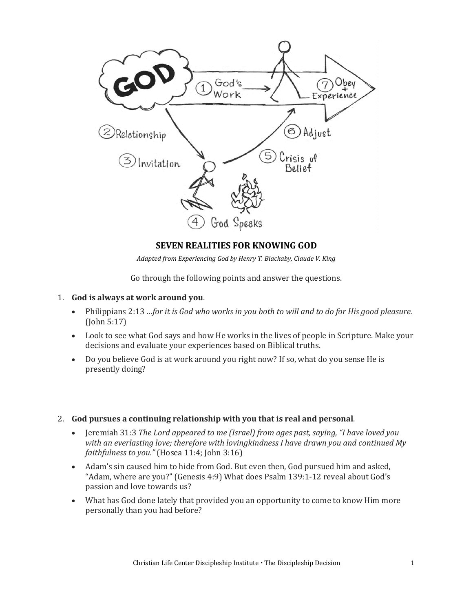

## **SEVEN REALITIES FOR KNOWING GOD**

*Adapted from Experiencing God by Henry T. Blackaby, Claude V. King*

Go through the following points and answer the questions.

- 1. **God is always at work around you**.
	- Philippians 2:13 *…for it is God who works in you both to will and to do for His good pleasure.*  (John 5:17)
	- Look to see what God says and how He works in the lives of people in Scripture. Make your decisions and evaluate your experiences based on Biblical truths.
	- Do you believe God is at work around you right now? If so, what do you sense He is presently doing?
- 2. **God pursues a continuing relationship with you that is real and personal**.
	- Jeremiah 31:3 *The Lord appeared to me (Israel) from ages past, saying, "I have loved you with an everlasting love; therefore with lovingkindness I have drawn you and continued My faithfulness to you."* (Hosea 11:4; John 3:16)
	- Adam's sin caused him to hide from God. But even then, God pursued him and asked, "Adam, where are you?" (Genesis 4:9) What does Psalm 139:1-12 reveal about God's passion and love towards us?
	- What has God done lately that provided you an opportunity to come to know Him more personally than you had before?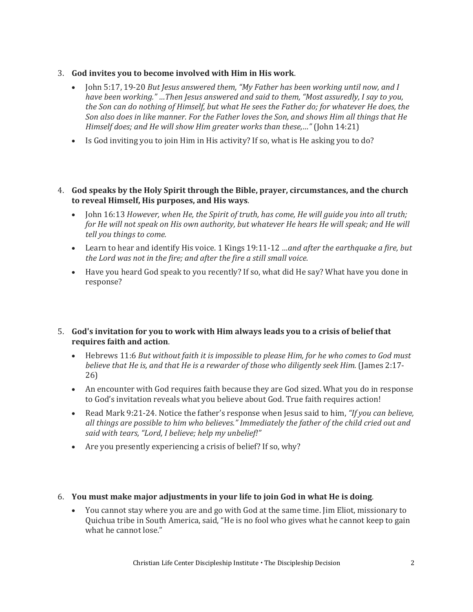- 3. **God invites you to become involved with Him in His work**.
	- John 5:17, 19-20 *But Jesus answered them, "My Father has been working until now, and I have been working." …Then Jesus answered and said to them, "Most assuredly, I say to you, the Son can do nothing of Himself, but what He sees the Father do; for whatever He does, the Son also does in like manner. For the Father loves the Son, and shows Him all things that He Himself does; and He will show Him greater works than these,…"* (John 14:21)
	- Is God inviting you to join Him in His activity? If so, what is He asking you to do?
- 4. **God speaks by the Holy Spirit through the Bible, prayer, circumstances, and the church to reveal Himself, His purposes, and His ways**.
	- John 16:13 *However, when He, the Spirit of truth, has come, He will guide you into all truth; for He will not speak on His own authority, but whatever He hears He will speak; and He will tell you things to come.*
	- Learn to hear and identify His voice. 1 Kings 19:11-12 *…and after the earthquake a fire, but the Lord was not in the fire; and after the fire a still small voice.*
	- Have you heard God speak to you recently? If so, what did He say? What have you done in response?

## 5. **God's invitation for you to work with Him always leads you to a crisis of belief that requires faith and action**.

- Hebrews 11:6 *But without faith it is impossible to please Him, for he who comes to God must*  believe that He is, and that He is a rewarder of those who diligently seek Him. (James 2:17-26)
- An encounter with God requires faith because they are God sized. What you do in response to God's invitation reveals what you believe about God. True faith requires action!
- Read Mark 9:21-24. Notice the father's response when Jesus said to him, *"If you can believe, all things are possible to him who believes." Immediately the father of the child cried out and said with tears, "Lord, I believe; help my unbelief!"*
- Are you presently experiencing a crisis of belief? If so, why?

## 6. **You must make major adjustments in your life to join God in what He is doing**.

• You cannot stay where you are and go with God at the same time. Jim Eliot, missionary to Quichua tribe in South America, said, "He is no fool who gives what he cannot keep to gain what he cannot lose."